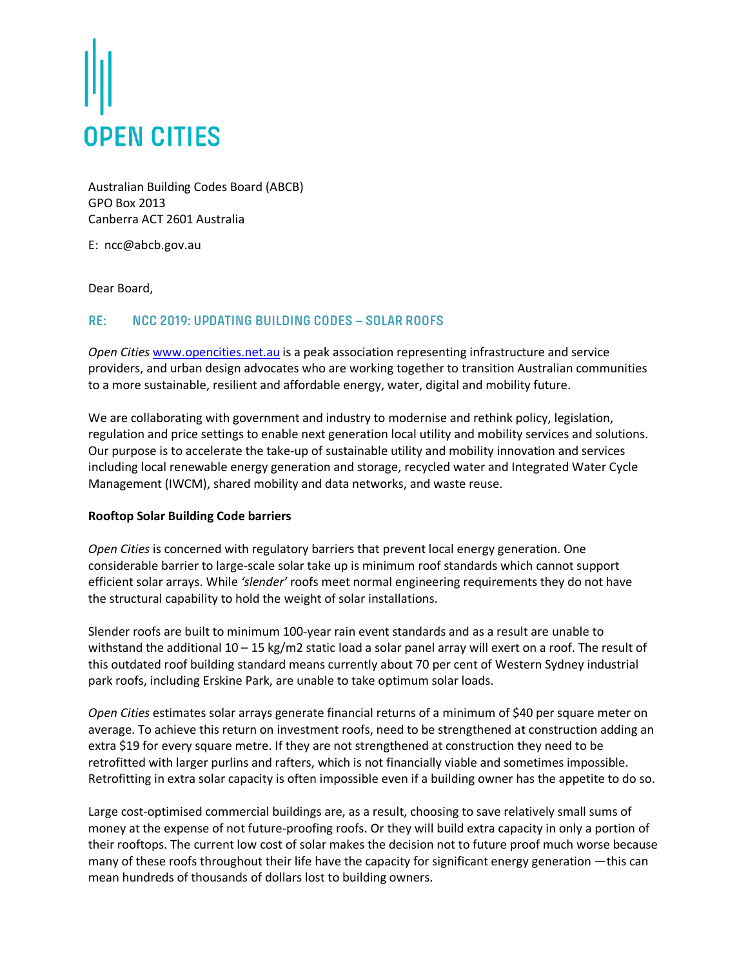

Australian Building Codes Board (ABCB) GPO Box 2013 Canberra ACT 2601 Australia

E: ncc@abcb.gov.au

Dear Board,

## **RE: NCC 2019: UPDATING BUILDING CODES – SOLAR ROOFS**

*Open Cities* www.opencities.net.au is a peak association representing infrastructure and service providers, and urban design advocates who are working together to transition Australian communities to a more sustainable, resilient and affordable energy, water, digital and mobility future.

We are collaborating with government and industry to modernise and rethink policy, legislation, regulation and price settings to enable next generation local utility and mobility services and solutions. Our purpose is to accelerate the take-up of sustainable utility and mobility innovation and services including local renewable energy generation and storage, recycled water and Integrated Water Cycle Management (IWCM), shared mobility and data networks, and waste reuse.

## **Rooftop Solar Building Code barriers**

*Open Cities* is concerned with regulatory barriers that prevent local energy generation. One considerable barrier to large-scale solar take up is minimum roof standards which cannot support efficient solar arrays. While *'slender'* roofs meet normal engineering requirements they do not have the structural capability to hold the weight of solar installations.

Slender roofs are built to minimum 100-year rain event standards and as a result are unable to withstand the additional 10 – 15 kg/m2 static load a solar panel array will exert on a roof. The result of this outdated roof building standard means currently about 70 per cent of Western Sydney industrial park roofs, including Erskine Park, are unable to take optimum solar loads.

*Open Cities* estimates solar arrays generate financial returns of a minimum of \$40 per square meter on average. To achieve this return on investment roofs, need to be strengthened at construction adding an extra \$19 for every square metre. If they are not strengthened at construction they need to be retrofitted with larger purlins and rafters, which is not financially viable and sometimes impossible. Retrofitting in extra solar capacity is often impossible even if a building owner has the appetite to do so.

Large cost-optimised commercial buildings are, as a result, choosing to save relatively small sums of money at the expense of not future-proofing roofs. Or they will build extra capacity in only a portion of their rooftops. The current low cost of solar makes the decision not to future proof much worse because many of these roofs throughout their life have the capacity for significant energy generation —this can mean hundreds of thousands of dollars lost to building owners.